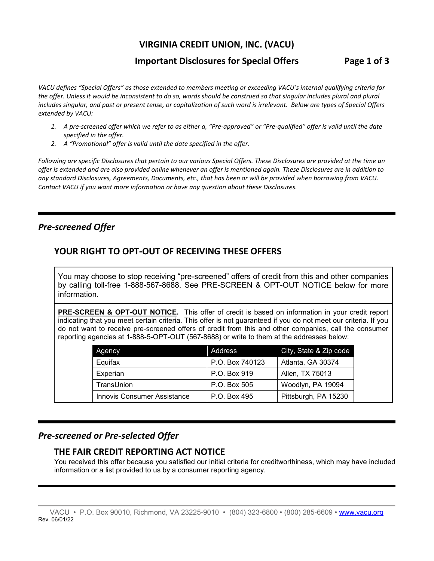# **VIRGINIA CREDIT UNION, INC. (VACU)**

# **Important Disclosures for Special Offers Page 1 of 3**

*VACU defines "Special Offers" as those extended to members meeting or exceeding VACU's internal qualifying criteria for the offer. Unless it would be inconsistent to do so, words should be construed so that singular includes plural and plural includes singular, and past or present tense, or capitalization of such word is irrelevant. Below are types of Special Offers extended by VACU:*

- *1. A pre-screened offer which we refer to as either a, "Pre-approved" or "Pre-qualified" offer is valid until the date specified in the offer.*
- *2. A "Promotional" offer is valid until the date specified in the offer.*

*Following are specific Disclosures that pertain to our various Special Offers. These Disclosures are provided at the time an offer is extended and are also provided online whenever an offer is mentioned again. These Disclosures are in addition to any standard Disclosures, Agreements, Documents, etc., that has been or will be provided when borrowing from VACU. Contact VACU if you want more information or have any question about these Disclosures.*

# *Pre-screened Offer*

# **YOUR RIGHT TO OPT-OUT OF RECEIVING THESE OFFERS**

You may choose to stop receiving "pre-screened" offers of credit from this and other companies by calling toll-free 1-888-567-8688. See PRE-SCREEN & OPT-OUT NOTICE below for more information.

**PRE-SCREEN & OPT-OUT NOTICE.** This offer of credit is based on information in your credit report indicating that you meet certain criteria. This offer is not guaranteed if you do not meet our criteria. If you do not want to receive pre-screened offers of credit from this and other companies, call the consumer reporting agencies at 1-888-5-OPT-OUT (567-8688) or write to them at the addresses below:

| Agency                             | Address         | City, State & Zip code |
|------------------------------------|-----------------|------------------------|
| Equifax                            | P.O. Box 740123 | Atlanta, GA 30374      |
| Experian                           | P.O. Box 919    | Allen, TX 75013        |
| TransUnion                         | P.O. Box 505    | Woodlyn, PA 19094      |
| <b>Innovis Consumer Assistance</b> | P.O. Box 495    | Pittsburgh, PA 15230   |

# *Pre-screened or Pre-selected Offer*

#### **THE FAIR CREDIT REPORTING ACT NOTICE**

You received this offer because you satisfied our initial criteria for creditworthiness, which may have included information or a list provided to us by a consumer reporting agency.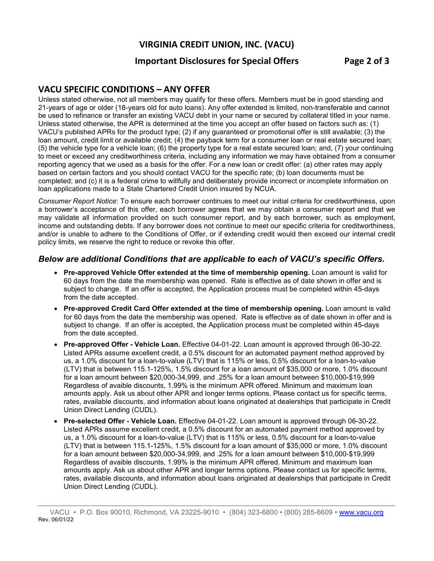# **VIRGINIA CREDIT UNION, INC. (VACU)**

## **Important Disclosures for Special Offers Page 2 of 3**

# **VACU SPECIFIC CONDITIONS – ANY OFFER**

Unless stated otherwise, not all members may qualify for these offers. Members must be in good standing and 21-years of age or older (18-years old for auto loans). Any offer extended is limited, non-transferable and cannot be used to refinance or transfer an existing VACU debt in your name or secured by collateral titled in your name. Unless stated otherwise, the APR is determined at the time you accept an offer based on factors such as: (1) VACU's published APRs for the product type; (2) if any guaranteed or promotional offer is still available; (3) the loan amount, credit limit or available credit; (4) the payback term for a consumer loan or real estate secured loan; (5) the vehicle type for a vehicle loan; (6) the property type for a real estate secured loan; and, (7) your continuing to meet or exceed any creditworthiness criteria, including any information we may have obtained from a consumer reporting agency that we used as a basis for the offer. For a new loan or credit offer: (a) other rates may apply based on certain factors and you should contact VACU for the specific rate; (b) loan documents must be completed; and (c) it is a federal crime to willfully and deliberately provide incorrect or incomplete information on loan applications made to a State Chartered Credit Union insured by NCUA.

*Consumer Report Notice*: To ensure each borrower continues to meet our initial criteria for creditworthiness, upon a borrower's acceptance of this offer, each borrower agrees that we may obtain a consumer report and that we may validate all information provided on such consumer report, and by each borrower, such as employment, income and outstanding debts. If any borrower does not continue to meet our specific criteria for creditworthiness, and/or is unable to adhere to the Conditions of Offer, or if extending credit would then exceed our internal credit policy limits, we reserve the right to reduce or revoke this offer.

#### *Below are additional Conditions that are applicable to each of VACU's specific Offers.*

- **Pre-approved Vehicle Offer extended at the time of membership opening.** Loan amount is valid for 60 days from the date the membership was opened. Rate is effective as of date shown in offer and is subject to change. If an offer is accepted, the Application process must be completed within 45-days from the date accepted.
- **Pre-approved Credit Card Offer extended at the time of membership opening.** Loan amount is valid for 60 days from the date the membership was opened. Rate is effective as of date shown in offer and is subject to change. If an offer is accepted, the Application process must be completed within 45-days from the date accepted.
- **Pre-approved Offer - Vehicle Loan.** Effective 04-01-22. Loan amount is approved through 06-30-22. Listed APRs assume excellent credit, a 0.5% discount for an automated payment method approved by us, a 1.0% discount for a loan-to-value (LTV) that is 115% or less, 0.5% discount for a loan-to-value (LTV) that is between 115.1-125%, 1.5% discount for a loan amount of \$35,000 or more, 1.0% discount for a loan amount between \$20,000-34,999, and .25% for a loan amount between \$10,000-\$19,999 Regardless of avaible discounts, 1.99% is the minimum APR offered. Minimum and maximum loan amounts apply. Ask us about other APR and longer terms options. Please contact us for specific terms, rates, available discounts, and information about loans originated at dealerships that participate in Credit Union Direct Lending (CUDL).
- **Pre-selected Offer - Vehicle Loan.** Effective 04-01-22. Loan amount is approved through 06-30-22. Listed APRs assume excellent credit, a 0.5% discount for an automated payment method approved by us, a 1.0% discount for a loan-to-value (LTV) that is 115% or less, 0.5% discount for a loan-to-value (LTV) that is between 115.1-125%, 1.5% discount for a loan amount of \$35,000 or more, 1.0% discount for a loan amount between \$20,000-34,999, and .25% for a loan amount between \$10,000-\$19,999 Regardless of avaible discounts, 1.99% is the minimum APR offered. Minimum and maximum loan amounts apply. Ask us about other APR and longer terms options. Please contact us for specific terms, rates, available discounts, and information about loans originated at dealerships that participate in Credit Union Direct Lending (CUDL).